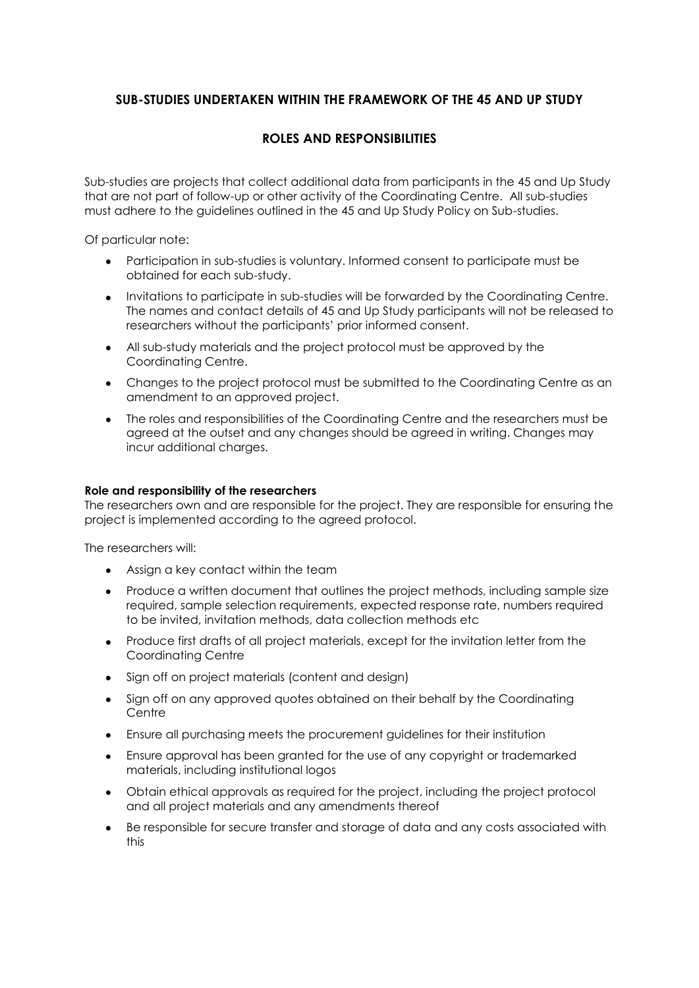## **SUB-STUDIES UNDERTAKEN WITHIN THE FRAMEWORK OF THE 45 AND UP STUDY**

## **ROLES AND RESPONSIBILITIES**

Sub-studies are projects that collect additional data from participants in the 45 and Up Study that are not part of follow-up or other activity of the Coordinating Centre. All sub-studies must adhere to the guidelines outlined in the 45 and Up Study Policy on Sub-studies.

Of particular note:

- Participation in sub-studies is voluntary. Informed consent to participate must be obtained for each sub-study.
- Invitations to participate in sub-studies will be forwarded by the Coordinating Centre. The names and contact details of 45 and Up Study participants will not be released to researchers without the participants' prior informed consent.
- All sub-study materials and the project protocol must be approved by the Coordinating Centre.
- Changes to the project protocol must be submitted to the Coordinating Centre as an amendment to an approved project.
- The roles and responsibilities of the Coordinating Centre and the researchers must be  $\bullet$ agreed at the outset and any changes should be agreed in writing. Changes may incur additional charges.

## **Role and responsibility of the researchers**

The researchers own and are responsible for the project. They are responsible for ensuring the project is implemented according to the agreed protocol.

The researchers will:

- Assign a key contact within the team
- Produce a written document that outlines the project methods, including sample size required, sample selection requirements, expected response rate, numbers required to be invited, invitation methods, data collection methods etc
- Produce first drafts of all project materials, except for the invitation letter from the  $\bullet$ Coordinating Centre
- Sign off on project materials (content and design)
- Sign off on any approved quotes obtained on their behalf by the Coordinating **Centre**
- Ensure all purchasing meets the procurement guidelines for their institution
- Ensure approval has been granted for the use of any copyright or trademarked  $\bullet$ materials, including institutional logos
- Obtain ethical approvals as required for the project, including the project protocol and all project materials and any amendments thereof
- Be responsible for secure transfer and storage of data and any costs associated with this